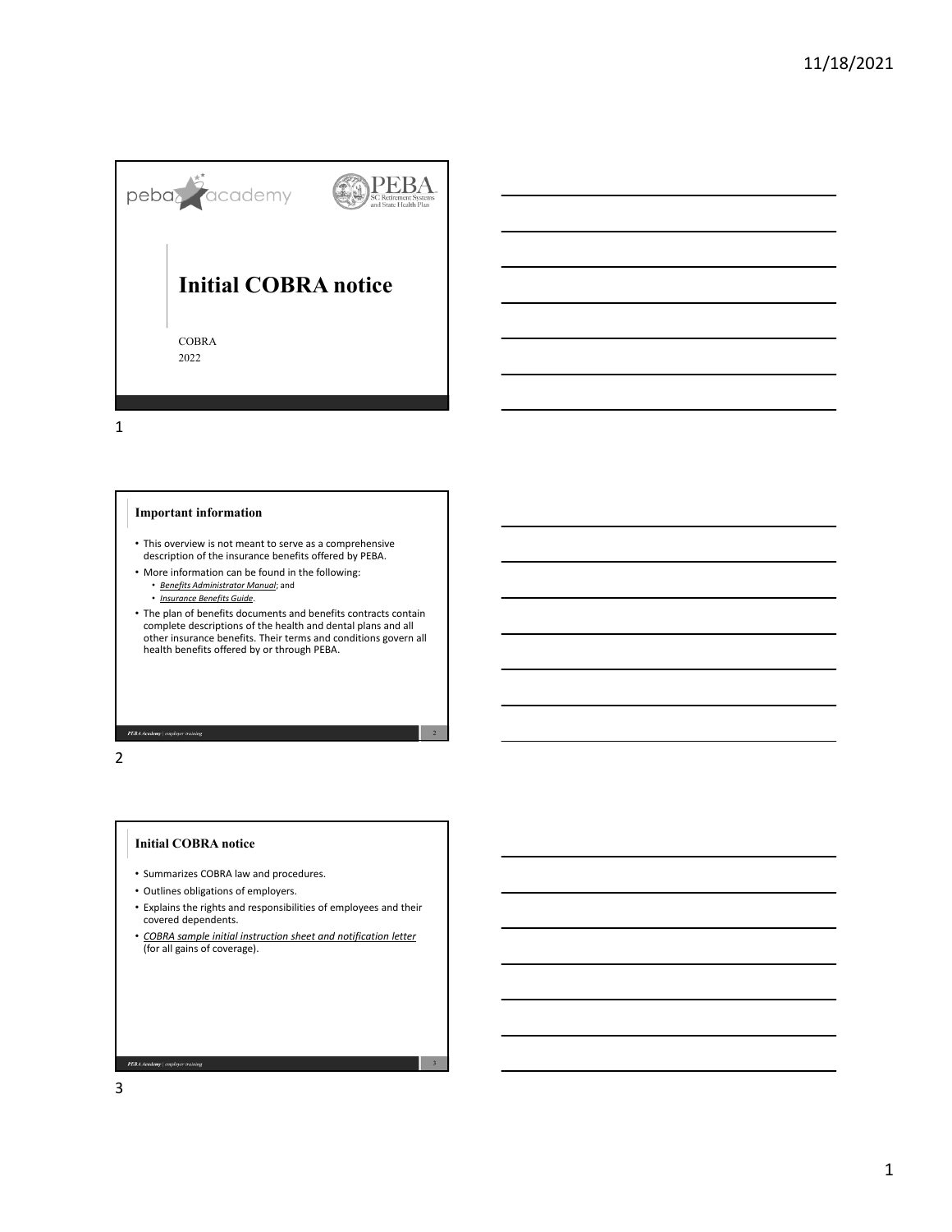

# **Important information**

- This overview is not meant to serve as a comprehensive description of the insurance benefits offered by PEBA.
- More information can be found in the following:
	- *Benefits Administrator Manual*; and
	- *Insurance Benefits Guide*.
- The plan of benefits documents and benefits contracts contain<br>complete descriptions of the health and dental plans and all<br>other insurance benefits. Their terms and conditions govern all<br>health benefits offered by or thr

PEBA Academy | employer training

## 2

### **Initial COBRA notice**

- Summarizes COBRA law and procedures.
- Outlines obligations of employers.
- Explains the rights and responsibilities of employees and their covered dependents.
- *COBRA sample initial instruction sheet and notification letter* (for all gains of coverage).

3

**PEBA Academy** | employer training

3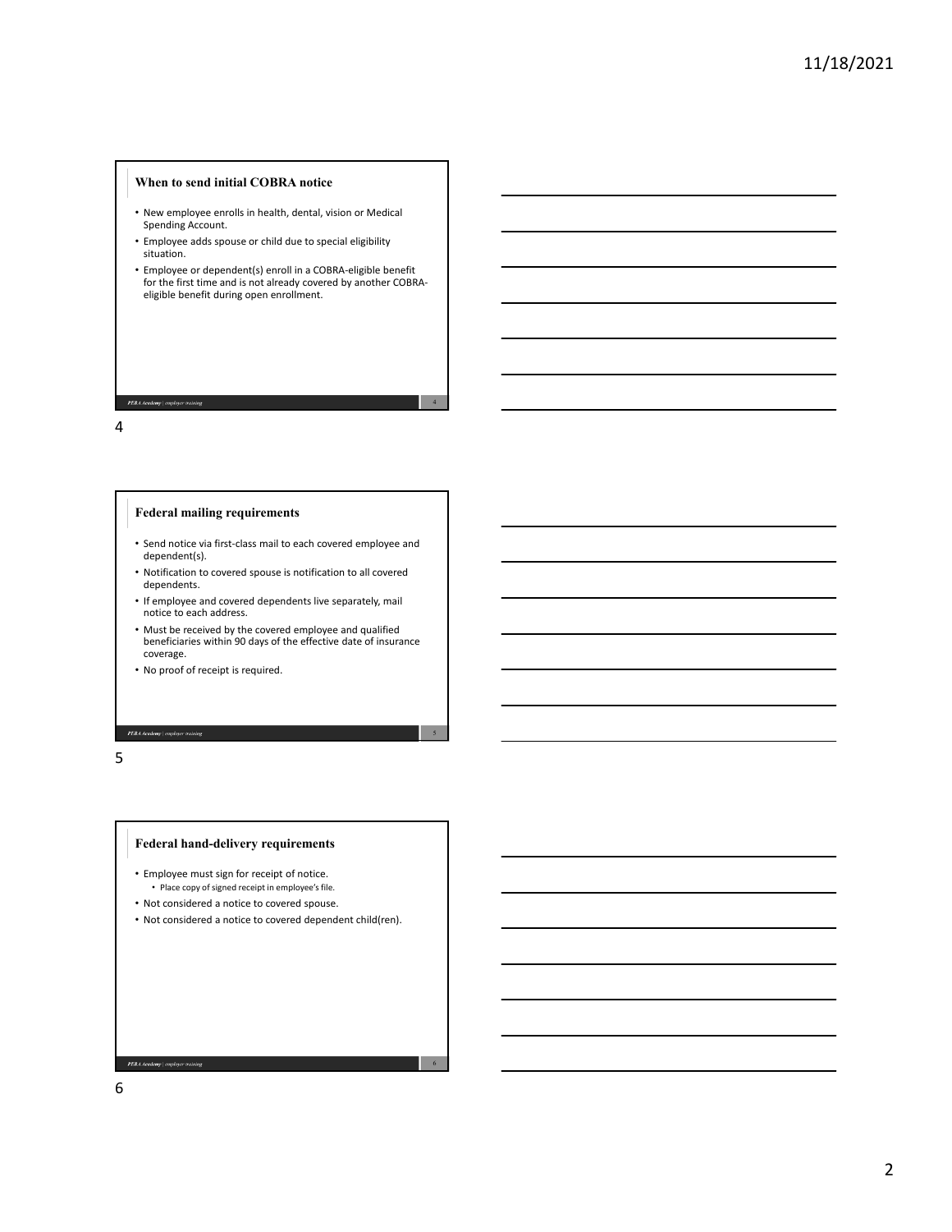## **When to send initial COBRA notice**

- New employee enrolls in health, dental, vision or Medical Spending Account.
- Employee adds spouse or child due to special eligibility situation.
- Employee or dependent(s) enroll in a COBRA‐eligible benefit for the first time and is not already covered by another COBRAeligible benefit during open enrollment.

4

5

#### 4

**PEBA Academy** | employer training

## **Federal mailing requirements**

- Send notice via first‐class mail to each covered employee and dependent(s).
- Notification to covered spouse is notification to all covered dependents.
- If employee and covered dependents live separately, mail notice to each address.
- Must be received by the covered employee and qualified beneficiaries within 90 days of the effective date of insurance coverage.
- No proof of receipt is required.

#### PEBA Academy | employer training

5